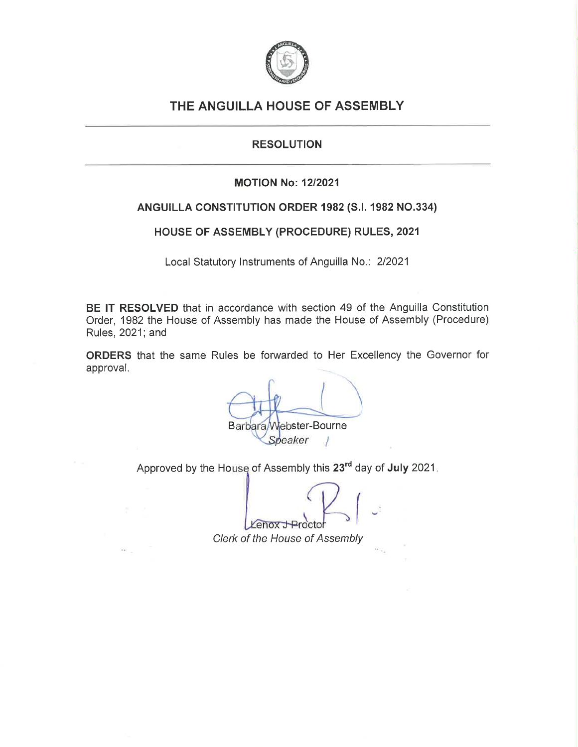

# THE ANGUILLA HOUSE OF ASSEMBLY

# **RESOLUTION**

# **MOTION No: 12/2021**

# ANGUILLA CONSTITUTION ORDER 1982 (S.I. 1982 NO.334)

# HOUSE OF ASSEMBLY (PROCEDURE) RULES, 2021

Local Statutory Instruments of Anguilla No.: 2/2021

BE IT RESOLVED that in accordance with section 49 of the Anguilla Constitution Order, 1982 the House of Assembly has made the House of Assembly (Procedure) Rules, 2021; and

ORDERS that the same Rules be forwarded to Her Excellency the Governor for approval.

Barbara/Webster-Bourne Speaker

Approved by the House of Assembly this 23<sup>rd</sup> day of July 2021.

enox.

Clerk of the House of Assembly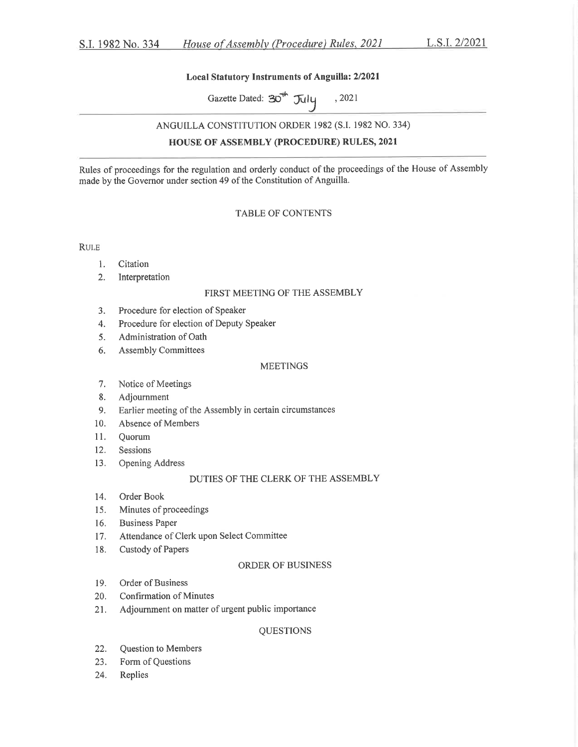## Local Statutory Instruments of Anguilla: 2/2021

Gazette Dated:  $30^{th}$  July , 2021

## ANGUILLA CONSTITUTION ORDER 1982 (S.I. 1982 NO. 334)

## **HOUSE OF ASSEMBLY (PROCEDURE) RULES, 2021**

Rules of proceedings for the regulation and orderly conduct of the proceedings of the House of Assembly made by the Governor under section 49 of the Constitution of Anguilla.

## **TABLE OF CONTENTS**

**RULE** 

- Citation  $1.$
- Interpretation  $2.$

## FIRST MEETING OF THE ASSEMBLY

- Procedure for election of Speaker 3.
- Procedure for election of Deputy Speaker 4.
- Administration of Oath 5.
- **Assembly Committees** 6.

### **MEETINGS**

- Notice of Meetings 7.
- 8. Adjournment
- Earlier meeting of the Assembly in certain circumstances 9.
- Absence of Members 10.
- Quorum  $11.$
- 12. Sessions
- 13. Opening Address

## DUTIES OF THE CLERK OF THE ASSEMBLY

- 14. Order Book
- Minutes of proceedings 15.
- $16.$ **Business Paper**
- Attendance of Clerk upon Select Committee  $17.$
- Custody of Papers 18.

## ORDER OF BUSINESS

- Order of Business 19.
- 20. **Confirmation of Minutes**
- Adjournment on matter of urgent public importance 21.

## **QUESTIONS**

- 22. Question to Members
- Form of Questions 23.
- 24. Replies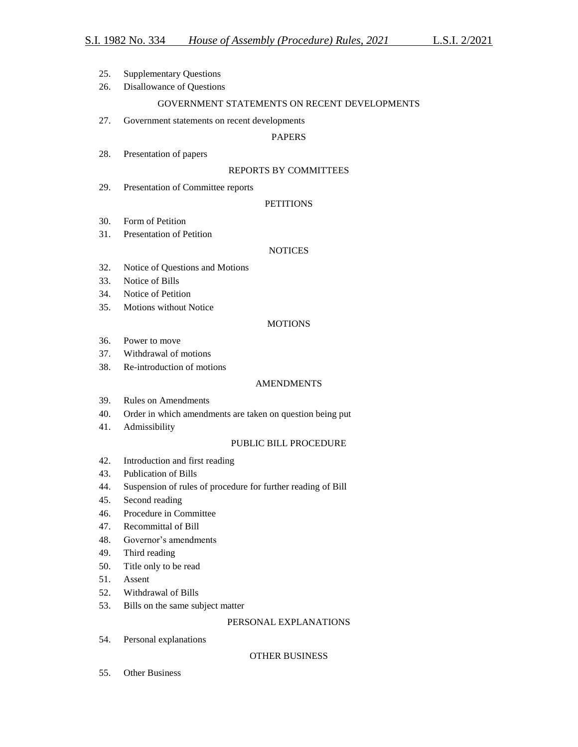- 25. Supplementary Questions
- 26. Disallowance of Questions

## GOVERNMENT STATEMENTS ON RECENT DEVELOPMENTS

27. Government statements on recent developments

## PAPERS

28. Presentation of papers

## REPORTS BY COMMITTEES

29. Presentation of Committee reports

## **PETITIONS**

- 30. Form of Petition
- 31. Presentation of Petition

## **NOTICES**

- 32. Notice of Questions and Motions
- 33. Notice of Bills
- 34. Notice of Petition
- 35. Motions without Notice

## MOTIONS

- 36. Power to move
- 37. Withdrawal of motions
- 38. Re-introduction of motions

## **AMENDMENTS**

- 39. Rules on Amendments
- 40. Order in which amendments are taken on question being put
- 41. Admissibility

## PUBLIC BILL PROCEDURE

- 42. Introduction and first reading
- 43. Publication of Bills
- 44. Suspension of rules of procedure for further reading of Bill
- 45. Second reading
- 46. Procedure in Committee
- 47. Recommittal of Bill
- 48. Governor's amendments
- 49. Third reading
- 50. Title only to be read
- 51. Assent
- 52. Withdrawal of Bills
- 53. Bills on the same subject matter

## PERSONAL EXPLANATIONS

54. Personal explanations

## OTHER BUSINESS

55. Other Business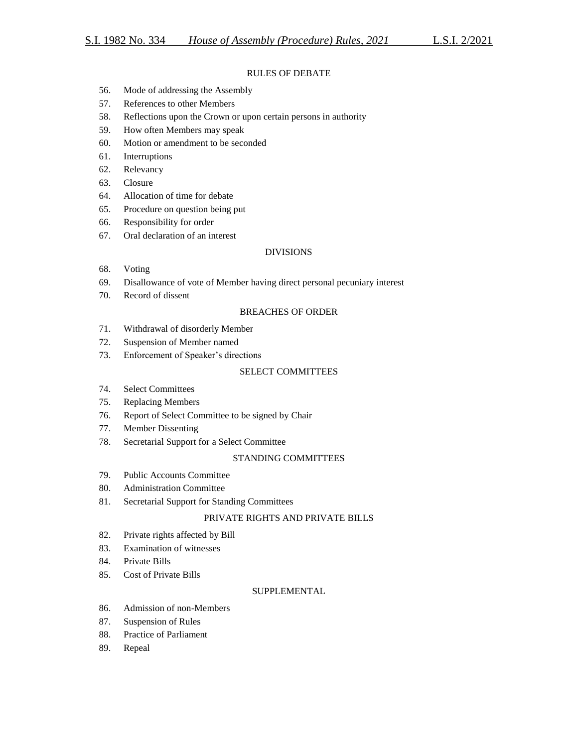## RULES OF DEBATE

- 56. Mode of addressing the Assembly
- 57. References to other Members
- 58. Reflections upon the Crown or upon certain persons in authority
- 59. How often Members may speak
- 60. Motion or amendment to be seconded
- 61. Interruptions
- 62. Relevancy
- 63. Closure
- 64. Allocation of time for debate
- 65. Procedure on question being put
- 66. Responsibility for order
- 67. Oral declaration of an interest

## DIVISIONS

- 68. Voting
- 69. Disallowance of vote of Member having direct personal pecuniary interest
- 70. Record of dissent

## BREACHES OF ORDER

- 71. Withdrawal of disorderly Member
- 72. Suspension of Member named
- 73. Enforcement of Speaker's directions

## SELECT COMMITTEES

- 74. Select Committees
- 75. Replacing Members
- 76. Report of Select Committee to be signed by Chair
- 77. Member Dissenting
- 78. Secretarial Support for a Select Committee

## STANDING COMMITTEES

- 79. Public Accounts Committee
- 80. Administration Committee
- 81. Secretarial Support for Standing Committees

## PRIVATE RIGHTS AND PRIVATE BILLS

- 82. Private rights affected by Bill
- 83. Examination of witnesses
- 84. Private Bills
- 85. Cost of Private Bills

## **SUPPLEMENTAL**

- 86. Admission of non-Members
- 87. Suspension of Rules
- 88. Practice of Parliament
- 89. Repeal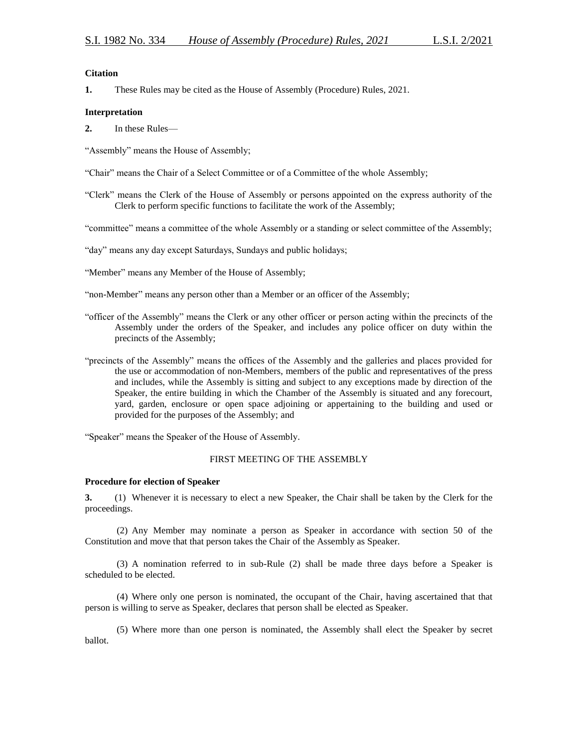## **Citation**

**1.** These Rules may be cited as the House of Assembly (Procedure) Rules, 2021.

### **Interpretation**

**2.** In these Rules—

"Assembly" means the House of Assembly;

"Chair" means the Chair of a Select Committee or of a Committee of the whole Assembly;

"Clerk" means the Clerk of the House of Assembly or persons appointed on the express authority of the Clerk to perform specific functions to facilitate the work of the Assembly;

"committee" means a committee of the whole Assembly or a standing or select committee of the Assembly;

"day" means any day except Saturdays, Sundays and public holidays;

"Member" means any Member of the House of Assembly;

"non-Member" means any person other than a Member or an officer of the Assembly;

- "officer of the Assembly" means the Clerk or any other officer or person acting within the precincts of the Assembly under the orders of the Speaker, and includes any police officer on duty within the precincts of the Assembly;
- "precincts of the Assembly" means the offices of the Assembly and the galleries and places provided for the use or accommodation of non-Members, members of the public and representatives of the press and includes, while the Assembly is sitting and subject to any exceptions made by direction of the Speaker, the entire building in which the Chamber of the Assembly is situated and any forecourt, yard, garden, enclosure or open space adjoining or appertaining to the building and used or provided for the purposes of the Assembly; and

"Speaker" means the Speaker of the House of Assembly.

## FIRST MEETING OF THE ASSEMBLY

## **Procedure for election of Speaker**

**3.** (1) Whenever it is necessary to elect a new Speaker, the Chair shall be taken by the Clerk for the proceedings.

(2) Any Member may nominate a person as Speaker in accordance with section 50 of the Constitution and move that that person takes the Chair of the Assembly as Speaker.

(3) A nomination referred to in sub-Rule (2) shall be made three days before a Speaker is scheduled to be elected.

(4) Where only one person is nominated, the occupant of the Chair, having ascertained that that person is willing to serve as Speaker, declares that person shall be elected as Speaker.

(5) Where more than one person is nominated, the Assembly shall elect the Speaker by secret ballot.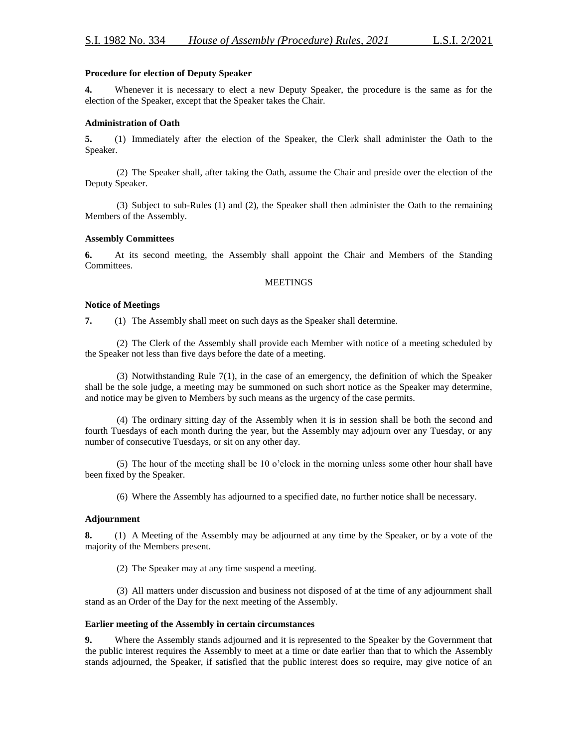## **Procedure for election of Deputy Speaker**

**4.** Whenever it is necessary to elect a new Deputy Speaker, the procedure is the same as for the election of the Speaker, except that the Speaker takes the Chair.

## **Administration of Oath**

**5.** (1) Immediately after the election of the Speaker, the Clerk shall administer the Oath to the Speaker.

(2) The Speaker shall, after taking the Oath, assume the Chair and preside over the election of the Deputy Speaker.

(3) Subject to sub-Rules (1) and (2), the Speaker shall then administer the Oath to the remaining Members of the Assembly.

## **Assembly Committees**

**6.** At its second meeting, the Assembly shall appoint the Chair and Members of the Standing Committees.

### **MEETINGS**

## **Notice of Meetings**

**7.** (1) The Assembly shall meet on such days as the Speaker shall determine.

(2) The Clerk of the Assembly shall provide each Member with notice of a meeting scheduled by the Speaker not less than five days before the date of a meeting.

(3) Notwithstanding Rule 7(1), in the case of an emergency, the definition of which the Speaker shall be the sole judge, a meeting may be summoned on such short notice as the Speaker may determine, and notice may be given to Members by such means as the urgency of the case permits.

(4) The ordinary sitting day of the Assembly when it is in session shall be both the second and fourth Tuesdays of each month during the year, but the Assembly may adjourn over any Tuesday, or any number of consecutive Tuesdays, or sit on any other day.

(5) The hour of the meeting shall be 10 o'clock in the morning unless some other hour shall have been fixed by the Speaker.

(6) Where the Assembly has adjourned to a specified date, no further notice shall be necessary.

## **Adjournment**

**8.** (1) A Meeting of the Assembly may be adjourned at any time by the Speaker, or by a vote of the majority of the Members present.

(2) The Speaker may at any time suspend a meeting.

(3) All matters under discussion and business not disposed of at the time of any adjournment shall stand as an Order of the Day for the next meeting of the Assembly.

## **Earlier meeting of the Assembly in certain circumstances**

**9.** Where the Assembly stands adjourned and it is represented to the Speaker by the Government that the public interest requires the Assembly to meet at a time or date earlier than that to which the Assembly stands adjourned, the Speaker, if satisfied that the public interest does so require, may give notice of an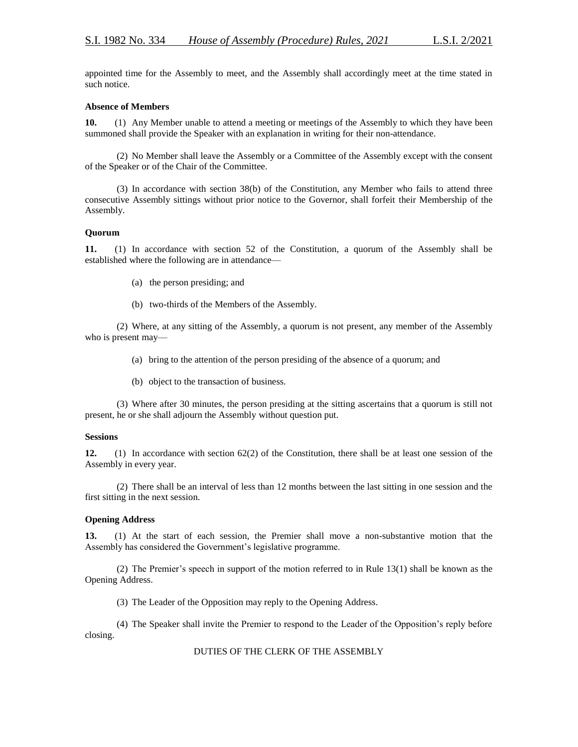appointed time for the Assembly to meet, and the Assembly shall accordingly meet at the time stated in such notice.

## **Absence of Members**

**10.** (1) Any Member unable to attend a meeting or meetings of the Assembly to which they have been summoned shall provide the Speaker with an explanation in writing for their non-attendance.

(2) No Member shall leave the Assembly or a Committee of the Assembly except with the consent of the Speaker or of the Chair of the Committee.

(3) In accordance with section 38(b) of the Constitution, any Member who fails to attend three consecutive Assembly sittings without prior notice to the Governor, shall forfeit their Membership of the Assembly.

## **Quorum**

**11.** (1) In accordance with section 52 of the Constitution, a quorum of the Assembly shall be established where the following are in attendance—

- (a) the person presiding; and
- (b) two-thirds of the Members of the Assembly.

(2) Where, at any sitting of the Assembly, a quorum is not present, any member of the Assembly who is present may—

- (a) bring to the attention of the person presiding of the absence of a quorum; and
- (b) object to the transaction of business.

(3) Where after 30 minutes, the person presiding at the sitting ascertains that a quorum is still not present, he or she shall adjourn the Assembly without question put.

## **Sessions**

**12.** (1) In accordance with section 62(2) of the Constitution, there shall be at least one session of the Assembly in every year.

(2) There shall be an interval of less than 12 months between the last sitting in one session and the first sitting in the next session.

## **Opening Address**

**13.** (1) At the start of each session, the Premier shall move a non-substantive motion that the Assembly has considered the Government's legislative programme.

(2) The Premier's speech in support of the motion referred to in Rule 13(1) shall be known as the Opening Address.

(3) The Leader of the Opposition may reply to the Opening Address.

(4) The Speaker shall invite the Premier to respond to the Leader of the Opposition's reply before closing.

## DUTIES OF THE CLERK OF THE ASSEMBLY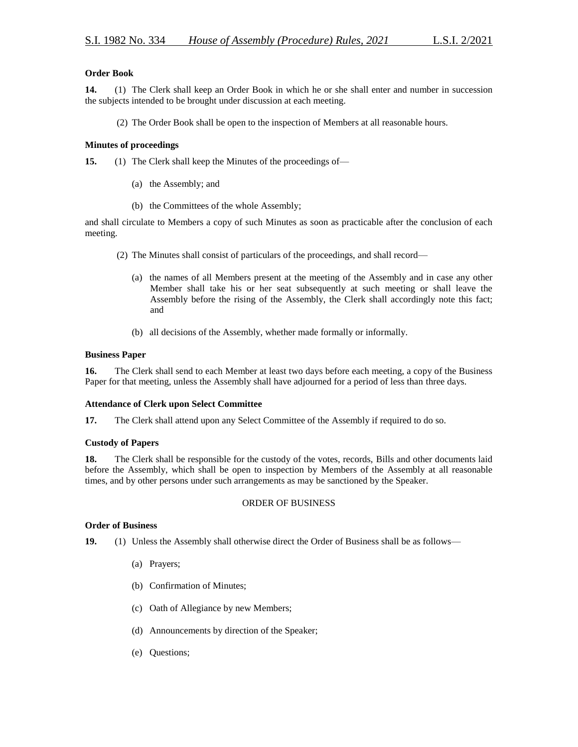## **Order Book**

**14.** (1) The Clerk shall keep an Order Book in which he or she shall enter and number in succession the subjects intended to be brought under discussion at each meeting.

(2) The Order Book shall be open to the inspection of Members at all reasonable hours.

## **Minutes of proceedings**

**15.** (1) The Clerk shall keep the Minutes of the proceedings of—

- (a) the Assembly; and
- (b) the Committees of the whole Assembly;

and shall circulate to Members a copy of such Minutes as soon as practicable after the conclusion of each meeting.

- (2) The Minutes shall consist of particulars of the proceedings, and shall record—
	- (a) the names of all Members present at the meeting of the Assembly and in case any other Member shall take his or her seat subsequently at such meeting or shall leave the Assembly before the rising of the Assembly, the Clerk shall accordingly note this fact; and
	- (b) all decisions of the Assembly, whether made formally or informally.

## **Business Paper**

**16.** The Clerk shall send to each Member at least two days before each meeting, a copy of the Business Paper for that meeting, unless the Assembly shall have adjourned for a period of less than three days.

## **Attendance of Clerk upon Select Committee**

**17.** The Clerk shall attend upon any Select Committee of the Assembly if required to do so.

## **Custody of Papers**

**18.** The Clerk shall be responsible for the custody of the votes, records, Bills and other documents laid before the Assembly, which shall be open to inspection by Members of the Assembly at all reasonable times, and by other persons under such arrangements as may be sanctioned by the Speaker.

## ORDER OF BUSINESS

## **Order of Business**

**19.** (1) Unless the Assembly shall otherwise direct the Order of Business shall be as follows—

- (a) Prayers;
- (b) Confirmation of Minutes;
- (c) Oath of Allegiance by new Members;
- (d) Announcements by direction of the Speaker;
- (e) Questions;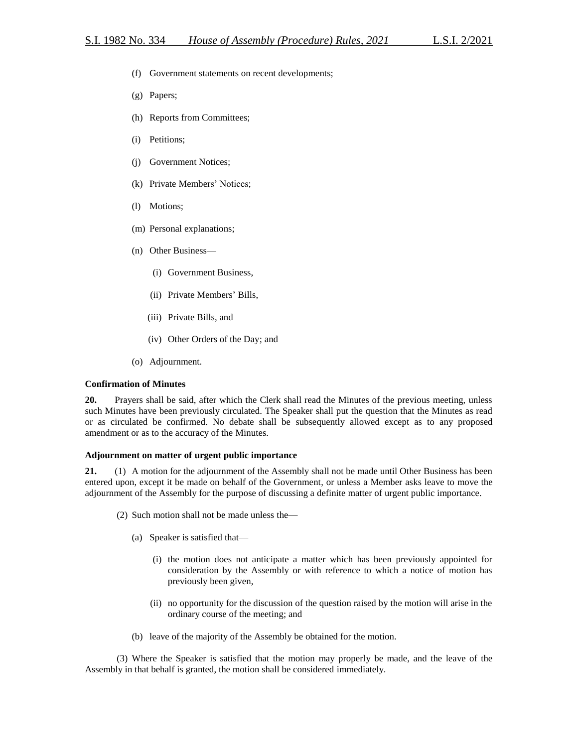- (f) Government statements on recent developments;
- (g) Papers;
- (h) Reports from Committees;
- (i) Petitions;
- (j) Government Notices;
- (k) Private Members' Notices;
- (l) Motions;
- (m) Personal explanations;
- (n) Other Business—
	- (i) Government Business,
	- (ii) Private Members' Bills,
	- (iii) Private Bills, and
	- (iv) Other Orders of the Day; and
- (o) Adjournment.

## **Confirmation of Minutes**

**20.** Prayers shall be said, after which the Clerk shall read the Minutes of the previous meeting, unless such Minutes have been previously circulated. The Speaker shall put the question that the Minutes as read or as circulated be confirmed. No debate shall be subsequently allowed except as to any proposed amendment or as to the accuracy of the Minutes.

## **Adjournment on matter of urgent public importance**

**21.** (1) A motion for the adjournment of the Assembly shall not be made until Other Business has been entered upon, except it be made on behalf of the Government, or unless a Member asks leave to move the adjournment of the Assembly for the purpose of discussing a definite matter of urgent public importance.

- (2) Such motion shall not be made unless the—
	- (a) Speaker is satisfied that—
		- (i) the motion does not anticipate a matter which has been previously appointed for consideration by the Assembly or with reference to which a notice of motion has previously been given,
		- (ii) no opportunity for the discussion of the question raised by the motion will arise in the ordinary course of the meeting; and
	- (b) leave of the majority of the Assembly be obtained for the motion.

(3) Where the Speaker is satisfied that the motion may properly be made, and the leave of the Assembly in that behalf is granted, the motion shall be considered immediately.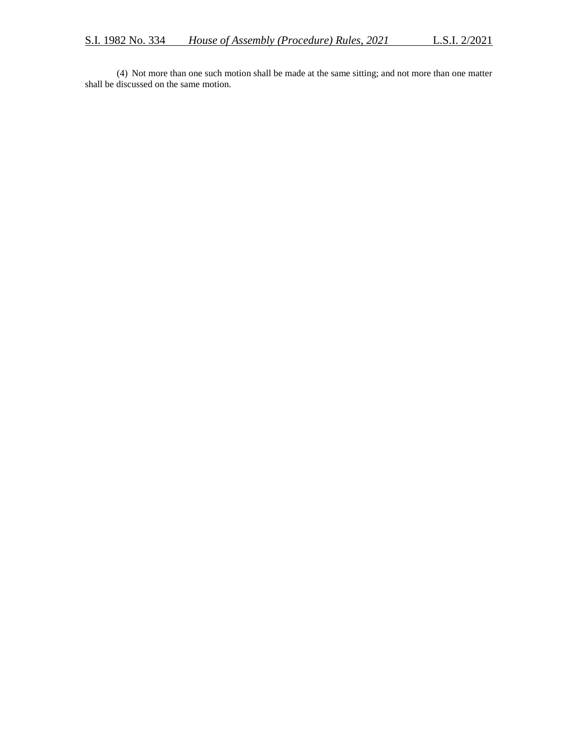(4) Not more than one such motion shall be made at the same sitting; and not more than one matter shall be discussed on the same motion.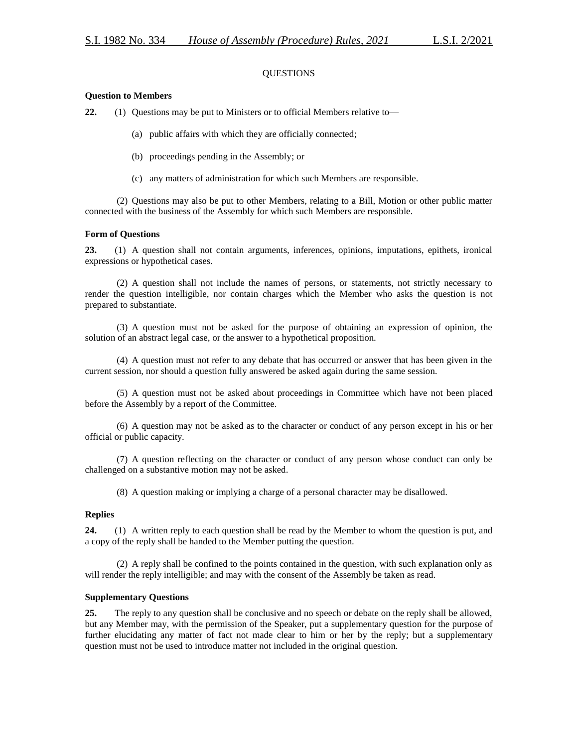## QUESTIONS

## **Question to Members**

**22.** (1) Questions may be put to Ministers or to official Members relative to—

- (a) public affairs with which they are officially connected;
- (b) proceedings pending in the Assembly; or
- (c) any matters of administration for which such Members are responsible.

(2) Questions may also be put to other Members, relating to a Bill, Motion or other public matter connected with the business of the Assembly for which such Members are responsible.

### **Form of Questions**

**23.** (1) A question shall not contain arguments, inferences, opinions, imputations, epithets, ironical expressions or hypothetical cases.

(2) A question shall not include the names of persons, or statements, not strictly necessary to render the question intelligible, nor contain charges which the Member who asks the question is not prepared to substantiate.

(3) A question must not be asked for the purpose of obtaining an expression of opinion, the solution of an abstract legal case, or the answer to a hypothetical proposition.

(4) A question must not refer to any debate that has occurred or answer that has been given in the current session, nor should a question fully answered be asked again during the same session.

(5) A question must not be asked about proceedings in Committee which have not been placed before the Assembly by a report of the Committee.

(6) A question may not be asked as to the character or conduct of any person except in his or her official or public capacity.

(7) A question reflecting on the character or conduct of any person whose conduct can only be challenged on a substantive motion may not be asked.

(8) A question making or implying a charge of a personal character may be disallowed.

## **Replies**

**24.** (1) A written reply to each question shall be read by the Member to whom the question is put, and a copy of the reply shall be handed to the Member putting the question.

(2) A reply shall be confined to the points contained in the question, with such explanation only as will render the reply intelligible; and may with the consent of the Assembly be taken as read.

#### **Supplementary Questions**

**25.** The reply to any question shall be conclusive and no speech or debate on the reply shall be allowed, but any Member may, with the permission of the Speaker, put a supplementary question for the purpose of further elucidating any matter of fact not made clear to him or her by the reply; but a supplementary question must not be used to introduce matter not included in the original question.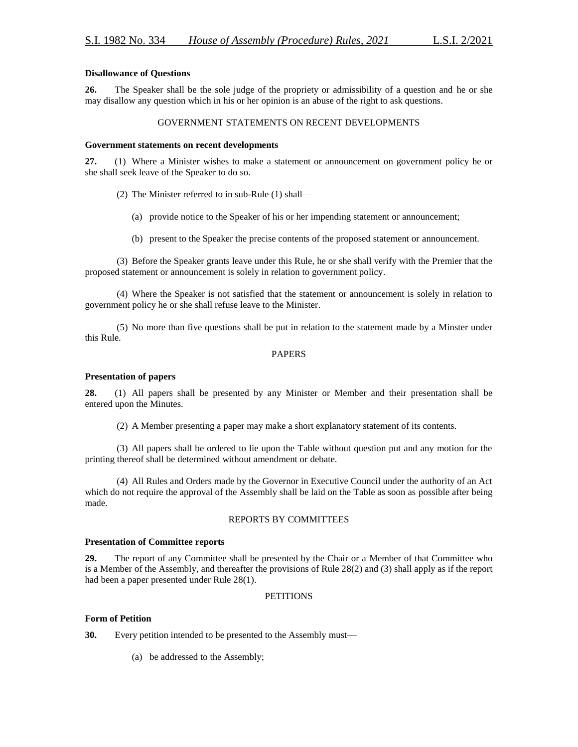## **Disallowance of Questions**

**26.** The Speaker shall be the sole judge of the propriety or admissibility of a question and he or she may disallow any question which in his or her opinion is an abuse of the right to ask questions.

## GOVERNMENT STATEMENTS ON RECENT DEVELOPMENTS

## **Government statements on recent developments**

**27.** (1) Where a Minister wishes to make a statement or announcement on government policy he or she shall seek leave of the Speaker to do so.

- (2) The Minister referred to in sub-Rule (1) shall—
	- (a) provide notice to the Speaker of his or her impending statement or announcement;
	- (b) present to the Speaker the precise contents of the proposed statement or announcement.

(3) Before the Speaker grants leave under this Rule, he or she shall verify with the Premier that the proposed statement or announcement is solely in relation to government policy.

(4) Where the Speaker is not satisfied that the statement or announcement is solely in relation to government policy he or she shall refuse leave to the Minister.

(5) No more than five questions shall be put in relation to the statement made by a Minster under this Rule.

## PAPERS

## **Presentation of papers**

**28.** (1) All papers shall be presented by any Minister or Member and their presentation shall be entered upon the Minutes.

(2) A Member presenting a paper may make a short explanatory statement of its contents.

(3) All papers shall be ordered to lie upon the Table without question put and any motion for the printing thereof shall be determined without amendment or debate.

(4) All Rules and Orders made by the Governor in Executive Council under the authority of an Act which do not require the approval of the Assembly shall be laid on the Table as soon as possible after being made.

## REPORTS BY COMMITTEES

## **Presentation of Committee reports**

**29.** The report of any Committee shall be presented by the Chair or a Member of that Committee who is a Member of the Assembly, and thereafter the provisions of Rule 28(2) and (3) shall apply as if the report had been a paper presented under Rule 28(1).

## **PETITIONS**

## **Form of Petition**

**30.** Every petition intended to be presented to the Assembly must—

(a) be addressed to the Assembly;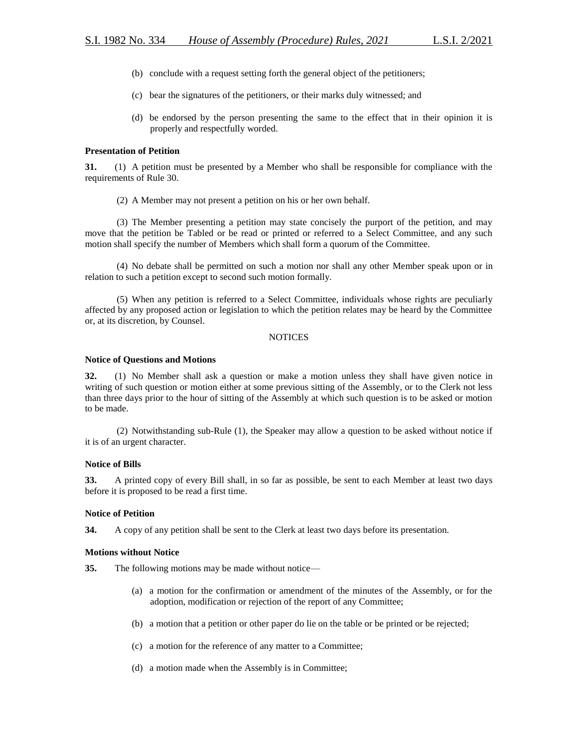- (b) conclude with a request setting forth the general object of the petitioners;
- (c) bear the signatures of the petitioners, or their marks duly witnessed; and
- (d) be endorsed by the person presenting the same to the effect that in their opinion it is properly and respectfully worded.

## **Presentation of Petition**

**31.** (1) A petition must be presented by a Member who shall be responsible for compliance with the requirements of Rule 30.

(2) A Member may not present a petition on his or her own behalf.

(3) The Member presenting a petition may state concisely the purport of the petition, and may move that the petition be Tabled or be read or printed or referred to a Select Committee, and any such motion shall specify the number of Members which shall form a quorum of the Committee.

(4) No debate shall be permitted on such a motion nor shall any other Member speak upon or in relation to such a petition except to second such motion formally.

(5) When any petition is referred to a Select Committee, individuals whose rights are peculiarly affected by any proposed action or legislation to which the petition relates may be heard by the Committee or, at its discretion, by Counsel.

## **NOTICES**

## **Notice of Questions and Motions**

**32.** (1) No Member shall ask a question or make a motion unless they shall have given notice in writing of such question or motion either at some previous sitting of the Assembly, or to the Clerk not less than three days prior to the hour of sitting of the Assembly at which such question is to be asked or motion to be made.

(2) Notwithstanding sub-Rule (1), the Speaker may allow a question to be asked without notice if it is of an urgent character.

## **Notice of Bills**

**33.** A printed copy of every Bill shall, in so far as possible, be sent to each Member at least two days before it is proposed to be read a first time.

## **Notice of Petition**

**34.** A copy of any petition shall be sent to the Clerk at least two days before its presentation.

## **Motions without Notice**

**35.** The following motions may be made without notice—

- (a) a motion for the confirmation or amendment of the minutes of the Assembly, or for the adoption, modification or rejection of the report of any Committee;
- (b) a motion that a petition or other paper do lie on the table or be printed or be rejected;
- (c) a motion for the reference of any matter to a Committee;
- (d) a motion made when the Assembly is in Committee;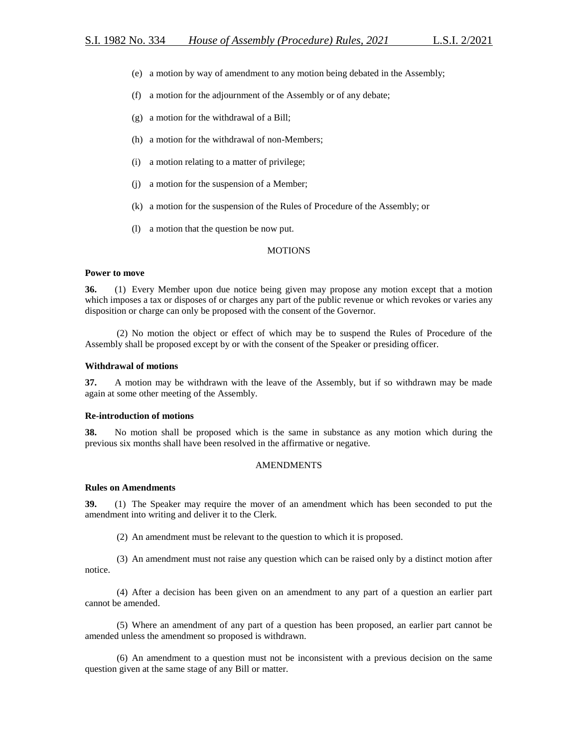- (e) a motion by way of amendment to any motion being debated in the Assembly;
- (f) a motion for the adjournment of the Assembly or of any debate;
- (g) a motion for the withdrawal of a Bill;
- (h) a motion for the withdrawal of non-Members;
- (i) a motion relating to a matter of privilege;
- (j) a motion for the suspension of a Member;
- (k) a motion for the suspension of the Rules of Procedure of the Assembly; or
- (l) a motion that the question be now put.

#### MOTIONS

#### **Power to move**

**36.** (1) Every Member upon due notice being given may propose any motion except that a motion which imposes a tax or disposes of or charges any part of the public revenue or which revokes or varies any disposition or charge can only be proposed with the consent of the Governor.

(2) No motion the object or effect of which may be to suspend the Rules of Procedure of the Assembly shall be proposed except by or with the consent of the Speaker or presiding officer.

#### **Withdrawal of motions**

**37.** A motion may be withdrawn with the leave of the Assembly, but if so withdrawn may be made again at some other meeting of the Assembly.

## **Re-introduction of motions**

**38.** No motion shall be proposed which is the same in substance as any motion which during the previous six months shall have been resolved in the affirmative or negative.

#### AMENDMENTS

#### **Rules on Amendments**

**39.** (1) The Speaker may require the mover of an amendment which has been seconded to put the amendment into writing and deliver it to the Clerk.

(2) An amendment must be relevant to the question to which it is proposed.

(3) An amendment must not raise any question which can be raised only by a distinct motion after notice.

(4) After a decision has been given on an amendment to any part of a question an earlier part cannot be amended.

(5) Where an amendment of any part of a question has been proposed, an earlier part cannot be amended unless the amendment so proposed is withdrawn.

(6) An amendment to a question must not be inconsistent with a previous decision on the same question given at the same stage of any Bill or matter.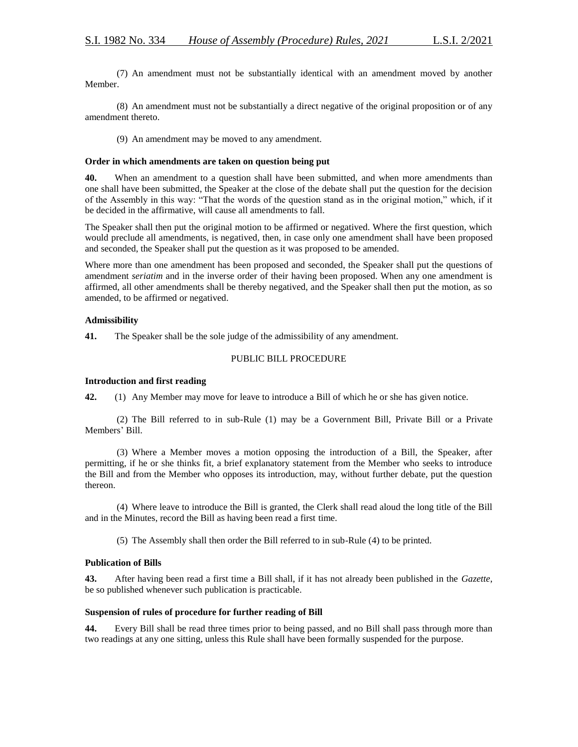(7) An amendment must not be substantially identical with an amendment moved by another Member.

(8) An amendment must not be substantially a direct negative of the original proposition or of any amendment thereto.

(9) An amendment may be moved to any amendment.

### **Order in which amendments are taken on question being put**

**40.** When an amendment to a question shall have been submitted, and when more amendments than one shall have been submitted, the Speaker at the close of the debate shall put the question for the decision of the Assembly in this way: "That the words of the question stand as in the original motion," which, if it be decided in the affirmative, will cause all amendments to fall.

The Speaker shall then put the original motion to be affirmed or negatived. Where the first question, which would preclude all amendments, is negatived, then, in case only one amendment shall have been proposed and seconded, the Speaker shall put the question as it was proposed to be amended.

Where more than one amendment has been proposed and seconded, the Speaker shall put the questions of amendment *seriatim* and in the inverse order of their having been proposed. When any one amendment is affirmed, all other amendments shall be thereby negatived, and the Speaker shall then put the motion, as so amended, to be affirmed or negatived.

## **Admissibility**

**41.** The Speaker shall be the sole judge of the admissibility of any amendment.

## PUBLIC BILL PROCEDURE

#### **Introduction and first reading**

**42.** (1) Any Member may move for leave to introduce a Bill of which he or she has given notice.

(2) The Bill referred to in sub-Rule (1) may be a Government Bill, Private Bill or a Private Members' Bill.

(3) Where a Member moves a motion opposing the introduction of a Bill, the Speaker, after permitting, if he or she thinks fit, a brief explanatory statement from the Member who seeks to introduce the Bill and from the Member who opposes its introduction, may, without further debate, put the question thereon.

(4) Where leave to introduce the Bill is granted, the Clerk shall read aloud the long title of the Bill and in the Minutes, record the Bill as having been read a first time.

(5) The Assembly shall then order the Bill referred to in sub-Rule (4) to be printed.

## **Publication of Bills**

**43.** After having been read a first time a Bill shall, if it has not already been published in the *Gazette*, be so published whenever such publication is practicable.

## **Suspension of rules of procedure for further reading of Bill**

**44.** Every Bill shall be read three times prior to being passed, and no Bill shall pass through more than two readings at any one sitting, unless this Rule shall have been formally suspended for the purpose.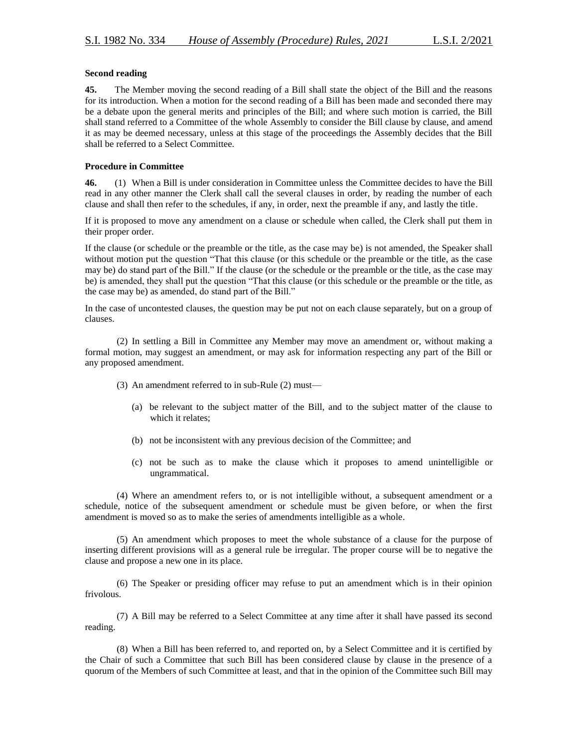## **Second reading**

**45.** The Member moving the second reading of a Bill shall state the object of the Bill and the reasons for its introduction. When a motion for the second reading of a Bill has been made and seconded there may be a debate upon the general merits and principles of the Bill; and where such motion is carried, the Bill shall stand referred to a Committee of the whole Assembly to consider the Bill clause by clause, and amend it as may be deemed necessary, unless at this stage of the proceedings the Assembly decides that the Bill shall be referred to a Select Committee.

## **Procedure in Committee**

**46.** (1) When a Bill is under consideration in Committee unless the Committee decides to have the Bill read in any other manner the Clerk shall call the several clauses in order, by reading the number of each clause and shall then refer to the schedules, if any, in order, next the preamble if any, and lastly the title.

If it is proposed to move any amendment on a clause or schedule when called, the Clerk shall put them in their proper order.

If the clause (or schedule or the preamble or the title, as the case may be) is not amended, the Speaker shall without motion put the question "That this clause (or this schedule or the preamble or the title, as the case may be) do stand part of the Bill." If the clause (or the schedule or the preamble or the title, as the case may be) is amended, they shall put the question "That this clause (or this schedule or the preamble or the title, as the case may be) as amended, do stand part of the Bill."

In the case of uncontested clauses, the question may be put not on each clause separately, but on a group of clauses.

(2) In settling a Bill in Committee any Member may move an amendment or, without making a formal motion, may suggest an amendment, or may ask for information respecting any part of the Bill or any proposed amendment.

- (3) An amendment referred to in sub-Rule (2) must—
	- (a) be relevant to the subject matter of the Bill, and to the subject matter of the clause to which it relates;
	- (b) not be inconsistent with any previous decision of the Committee; and
	- (c) not be such as to make the clause which it proposes to amend unintelligible or ungrammatical.

(4) Where an amendment refers to, or is not intelligible without, a subsequent amendment or a schedule, notice of the subsequent amendment or schedule must be given before, or when the first amendment is moved so as to make the series of amendments intelligible as a whole.

(5) An amendment which proposes to meet the whole substance of a clause for the purpose of inserting different provisions will as a general rule be irregular. The proper course will be to negative the clause and propose a new one in its place.

(6) The Speaker or presiding officer may refuse to put an amendment which is in their opinion frivolous.

(7) A Bill may be referred to a Select Committee at any time after it shall have passed its second reading.

(8) When a Bill has been referred to, and reported on, by a Select Committee and it is certified by the Chair of such a Committee that such Bill has been considered clause by clause in the presence of a quorum of the Members of such Committee at least, and that in the opinion of the Committee such Bill may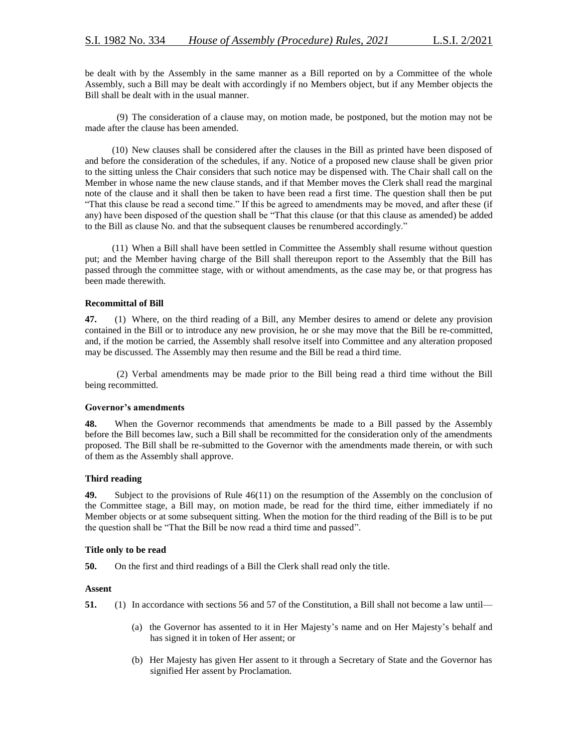be dealt with by the Assembly in the same manner as a Bill reported on by a Committee of the whole Assembly, such a Bill may be dealt with accordingly if no Members object, but if any Member objects the Bill shall be dealt with in the usual manner.

(9) The consideration of a clause may, on motion made, be postponed, but the motion may not be made after the clause has been amended.

(10) New clauses shall be considered after the clauses in the Bill as printed have been disposed of and before the consideration of the schedules, if any. Notice of a proposed new clause shall be given prior to the sitting unless the Chair considers that such notice may be dispensed with. The Chair shall call on the Member in whose name the new clause stands, and if that Member moves the Clerk shall read the marginal note of the clause and it shall then be taken to have been read a first time. The question shall then be put "That this clause be read a second time." If this be agreed to amendments may be moved, and after these (if any) have been disposed of the question shall be "That this clause (or that this clause as amended) be added to the Bill as clause No. and that the subsequent clauses be renumbered accordingly."

(11) When a Bill shall have been settled in Committee the Assembly shall resume without question put; and the Member having charge of the Bill shall thereupon report to the Assembly that the Bill has passed through the committee stage, with or without amendments, as the case may be, or that progress has been made therewith.

#### **Recommittal of Bill**

**47.** (1) Where, on the third reading of a Bill, any Member desires to amend or delete any provision contained in the Bill or to introduce any new provision, he or she may move that the Bill be re-committed, and, if the motion be carried, the Assembly shall resolve itself into Committee and any alteration proposed may be discussed. The Assembly may then resume and the Bill be read a third time.

(2) Verbal amendments may be made prior to the Bill being read a third time without the Bill being recommitted.

#### **Governor's amendments**

**48.** When the Governor recommends that amendments be made to a Bill passed by the Assembly before the Bill becomes law, such a Bill shall be recommitted for the consideration only of the amendments proposed. The Bill shall be re-submitted to the Governor with the amendments made therein, or with such of them as the Assembly shall approve.

#### **Third reading**

**49.** Subject to the provisions of Rule 46(11) on the resumption of the Assembly on the conclusion of the Committee stage, a Bill may, on motion made, be read for the third time, either immediately if no Member objects or at some subsequent sitting. When the motion for the third reading of the Bill is to be put the question shall be "That the Bill be now read a third time and passed".

#### **Title only to be read**

**50.** On the first and third readings of a Bill the Clerk shall read only the title.

#### **Assent**

**51.** (1) In accordance with sections 56 and 57 of the Constitution, a Bill shall not become a law until—

- (a) the Governor has assented to it in Her Majesty's name and on Her Majesty's behalf and has signed it in token of Her assent; or
- (b) Her Majesty has given Her assent to it through a Secretary of State and the Governor has signified Her assent by Proclamation.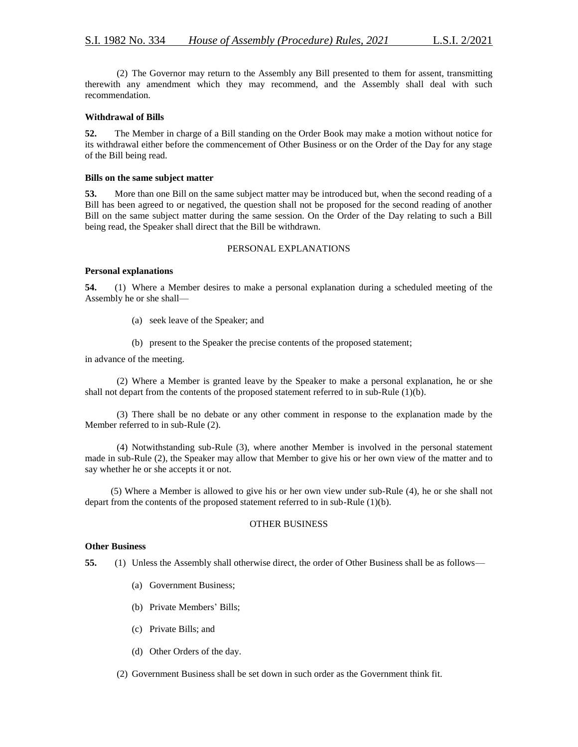(2) The Governor may return to the Assembly any Bill presented to them for assent, transmitting therewith any amendment which they may recommend, and the Assembly shall deal with such recommendation.

### **Withdrawal of Bills**

**52.** The Member in charge of a Bill standing on the Order Book may make a motion without notice for its withdrawal either before the commencement of Other Business or on the Order of the Day for any stage of the Bill being read.

#### **Bills on the same subject matter**

**53.** More than one Bill on the same subject matter may be introduced but, when the second reading of a Bill has been agreed to or negatived, the question shall not be proposed for the second reading of another Bill on the same subject matter during the same session. On the Order of the Day relating to such a Bill being read, the Speaker shall direct that the Bill be withdrawn.

#### PERSONAL EXPLANATIONS

#### **Personal explanations**

**54.** (1) Where a Member desires to make a personal explanation during a scheduled meeting of the Assembly he or she shall—

- (a) seek leave of the Speaker; and
- (b) present to the Speaker the precise contents of the proposed statement;

in advance of the meeting.

(2) Where a Member is granted leave by the Speaker to make a personal explanation, he or she shall not depart from the contents of the proposed statement referred to in sub-Rule (1)(b).

(3) There shall be no debate or any other comment in response to the explanation made by the Member referred to in sub-Rule (2).

(4) Notwithstanding sub-Rule (3), where another Member is involved in the personal statement made in sub-Rule (2), the Speaker may allow that Member to give his or her own view of the matter and to say whether he or she accepts it or not.

(5) Where a Member is allowed to give his or her own view under sub-Rule (4), he or she shall not depart from the contents of the proposed statement referred to in sub-Rule (1)(b).

## OTHER BUSINESS

#### **Other Business**

**55.** (1) Unless the Assembly shall otherwise direct, the order of Other Business shall be as follows—

- (a) Government Business;
- (b) Private Members' Bills;
- (c) Private Bills; and
- (d) Other Orders of the day.
- (2) Government Business shall be set down in such order as the Government think fit.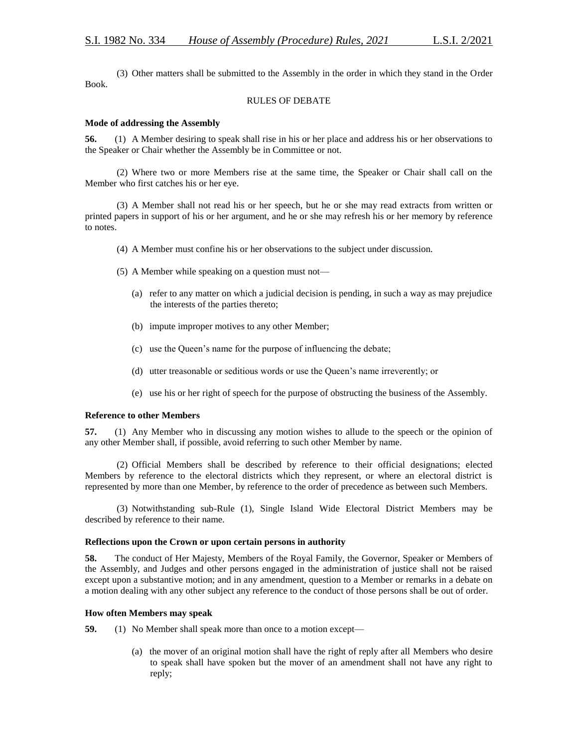(3) Other matters shall be submitted to the Assembly in the order in which they stand in the Order Book.

## RULES OF DEBATE

### **Mode of addressing the Assembly**

**56.** (1) A Member desiring to speak shall rise in his or her place and address his or her observations to the Speaker or Chair whether the Assembly be in Committee or not.

(2) Where two or more Members rise at the same time, the Speaker or Chair shall call on the Member who first catches his or her eye.

(3) A Member shall not read his or her speech, but he or she may read extracts from written or printed papers in support of his or her argument, and he or she may refresh his or her memory by reference to notes.

- (4) A Member must confine his or her observations to the subject under discussion.
- (5) A Member while speaking on a question must not—
	- (a) refer to any matter on which a judicial decision is pending, in such a way as may prejudice the interests of the parties thereto;
	- (b) impute improper motives to any other Member;
	- (c) use the Queen's name for the purpose of influencing the debate;
	- (d) utter treasonable or seditious words or use the Queen's name irreverently; or
	- (e) use his or her right of speech for the purpose of obstructing the business of the Assembly.

#### **Reference to other Members**

**57.** (1) Any Member who in discussing any motion wishes to allude to the speech or the opinion of any other Member shall, if possible, avoid referring to such other Member by name.

(2) Official Members shall be described by reference to their official designations; elected Members by reference to the electoral districts which they represent, or where an electoral district is represented by more than one Member, by reference to the order of precedence as between such Members.

(3) Notwithstanding sub-Rule (1), Single Island Wide Electoral District Members may be described by reference to their name.

#### **Reflections upon the Crown or upon certain persons in authority**

**58.** The conduct of Her Majesty, Members of the Royal Family, the Governor, Speaker or Members of the Assembly, and Judges and other persons engaged in the administration of justice shall not be raised except upon a substantive motion; and in any amendment, question to a Member or remarks in a debate on a motion dealing with any other subject any reference to the conduct of those persons shall be out of order.

## **How often Members may speak**

**59.** (1) No Member shall speak more than once to a motion except—

(a) the mover of an original motion shall have the right of reply after all Members who desire to speak shall have spoken but the mover of an amendment shall not have any right to reply;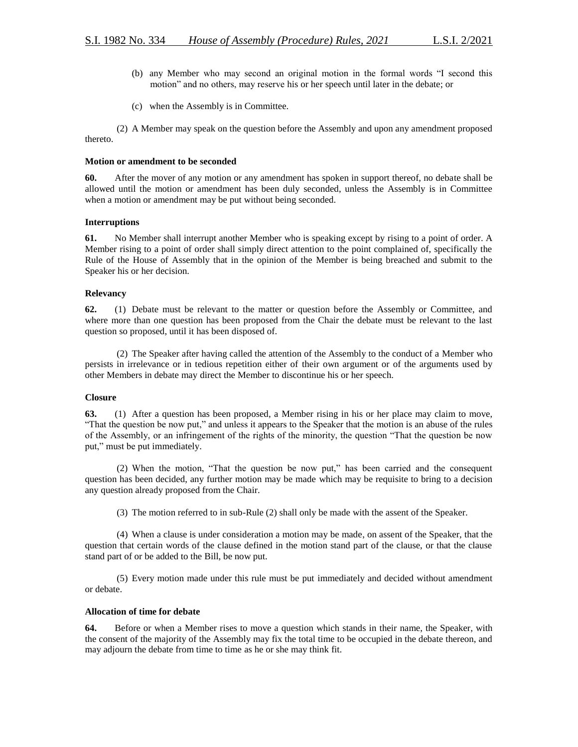- (b) any Member who may second an original motion in the formal words "I second this motion" and no others, may reserve his or her speech until later in the debate; or
- (c) when the Assembly is in Committee.

(2) A Member may speak on the question before the Assembly and upon any amendment proposed thereto.

#### **Motion or amendment to be seconded**

**60.** After the mover of any motion or any amendment has spoken in support thereof, no debate shall be allowed until the motion or amendment has been duly seconded, unless the Assembly is in Committee when a motion or amendment may be put without being seconded.

#### **Interruptions**

**61.** No Member shall interrupt another Member who is speaking except by rising to a point of order. A Member rising to a point of order shall simply direct attention to the point complained of, specifically the Rule of the House of Assembly that in the opinion of the Member is being breached and submit to the Speaker his or her decision.

#### **Relevancy**

**62.** (1) Debate must be relevant to the matter or question before the Assembly or Committee, and where more than one question has been proposed from the Chair the debate must be relevant to the last question so proposed, until it has been disposed of.

(2) The Speaker after having called the attention of the Assembly to the conduct of a Member who persists in irrelevance or in tedious repetition either of their own argument or of the arguments used by other Members in debate may direct the Member to discontinue his or her speech.

#### **Closure**

**63.** (1) After a question has been proposed, a Member rising in his or her place may claim to move, "That the question be now put," and unless it appears to the Speaker that the motion is an abuse of the rules of the Assembly, or an infringement of the rights of the minority, the question "That the question be now put," must be put immediately.

(2) When the motion, "That the question be now put," has been carried and the consequent question has been decided, any further motion may be made which may be requisite to bring to a decision any question already proposed from the Chair.

(3) The motion referred to in sub-Rule (2) shall only be made with the assent of the Speaker.

(4) When a clause is under consideration a motion may be made, on assent of the Speaker, that the question that certain words of the clause defined in the motion stand part of the clause, or that the clause stand part of or be added to the Bill, be now put.

(5) Every motion made under this rule must be put immediately and decided without amendment or debate.

## **Allocation of time for debate**

**64.** Before or when a Member rises to move a question which stands in their name, the Speaker, with the consent of the majority of the Assembly may fix the total time to be occupied in the debate thereon, and may adjourn the debate from time to time as he or she may think fit.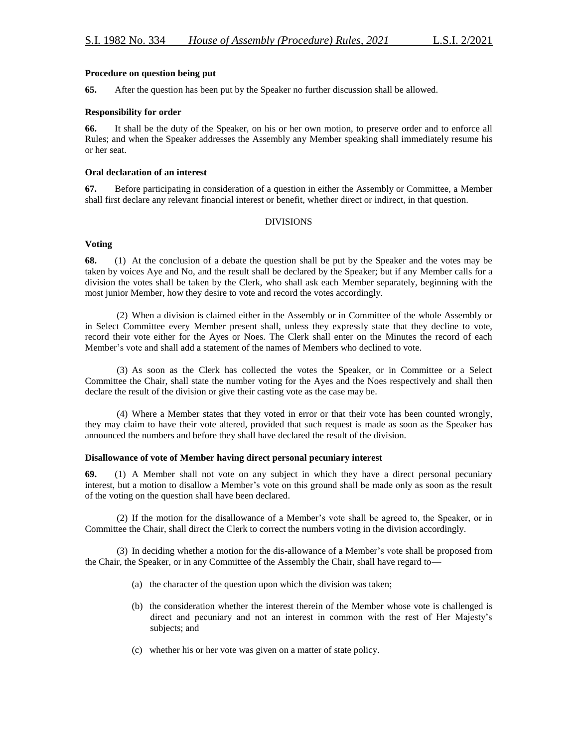### **Procedure on question being put**

**65.** After the question has been put by the Speaker no further discussion shall be allowed.

#### **Responsibility for order**

**66.** It shall be the duty of the Speaker, on his or her own motion, to preserve order and to enforce all Rules; and when the Speaker addresses the Assembly any Member speaking shall immediately resume his or her seat.

## **Oral declaration of an interest**

**67.** Before participating in consideration of a question in either the Assembly or Committee, a Member shall first declare any relevant financial interest or benefit, whether direct or indirect, in that question.

#### DIVISIONS

## **Voting**

**68.** (1) At the conclusion of a debate the question shall be put by the Speaker and the votes may be taken by voices Aye and No, and the result shall be declared by the Speaker; but if any Member calls for a division the votes shall be taken by the Clerk, who shall ask each Member separately, beginning with the most junior Member, how they desire to vote and record the votes accordingly.

(2) When a division is claimed either in the Assembly or in Committee of the whole Assembly or in Select Committee every Member present shall, unless they expressly state that they decline to vote, record their vote either for the Ayes or Noes. The Clerk shall enter on the Minutes the record of each Member's vote and shall add a statement of the names of Members who declined to vote.

(3) As soon as the Clerk has collected the votes the Speaker, or in Committee or a Select Committee the Chair, shall state the number voting for the Ayes and the Noes respectively and shall then declare the result of the division or give their casting vote as the case may be.

(4) Where a Member states that they voted in error or that their vote has been counted wrongly, they may claim to have their vote altered, provided that such request is made as soon as the Speaker has announced the numbers and before they shall have declared the result of the division.

#### **Disallowance of vote of Member having direct personal pecuniary interest**

**69.** (1) A Member shall not vote on any subject in which they have a direct personal pecuniary interest, but a motion to disallow a Member's vote on this ground shall be made only as soon as the result of the voting on the question shall have been declared.

(2) If the motion for the disallowance of a Member's vote shall be agreed to, the Speaker, or in Committee the Chair, shall direct the Clerk to correct the numbers voting in the division accordingly.

(3) In deciding whether a motion for the dis-allowance of a Member's vote shall be proposed from the Chair, the Speaker, or in any Committee of the Assembly the Chair, shall have regard to—

- (a) the character of the question upon which the division was taken;
- (b) the consideration whether the interest therein of the Member whose vote is challenged is direct and pecuniary and not an interest in common with the rest of Her Majesty's subjects; and
- (c) whether his or her vote was given on a matter of state policy.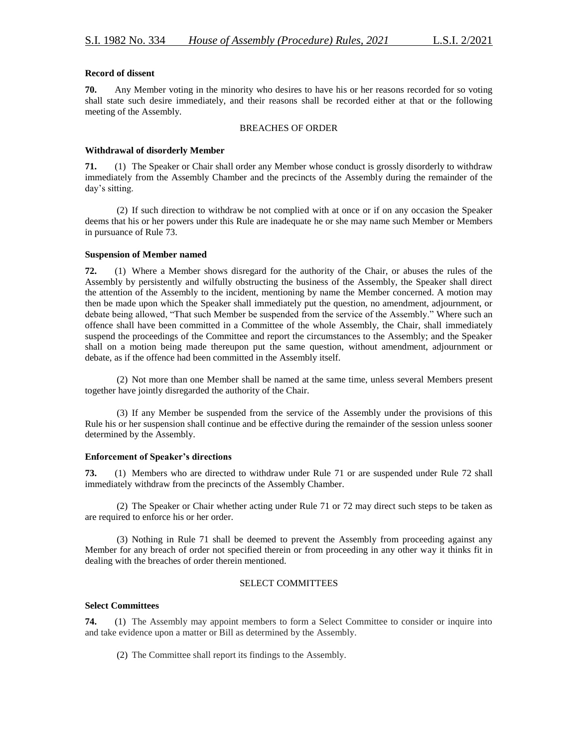## **Record of dissent**

**70.** Any Member voting in the minority who desires to have his or her reasons recorded for so voting shall state such desire immediately, and their reasons shall be recorded either at that or the following meeting of the Assembly.

### BREACHES OF ORDER

## **Withdrawal of disorderly Member**

**71.** (1) The Speaker or Chair shall order any Member whose conduct is grossly disorderly to withdraw immediately from the Assembly Chamber and the precincts of the Assembly during the remainder of the day's sitting.

(2) If such direction to withdraw be not complied with at once or if on any occasion the Speaker deems that his or her powers under this Rule are inadequate he or she may name such Member or Members in pursuance of Rule 73.

## **Suspension of Member named**

**72.** (1) Where a Member shows disregard for the authority of the Chair, or abuses the rules of the Assembly by persistently and wilfully obstructing the business of the Assembly, the Speaker shall direct the attention of the Assembly to the incident, mentioning by name the Member concerned. A motion may then be made upon which the Speaker shall immediately put the question, no amendment, adjournment, or debate being allowed, "That such Member be suspended from the service of the Assembly." Where such an offence shall have been committed in a Committee of the whole Assembly, the Chair, shall immediately suspend the proceedings of the Committee and report the circumstances to the Assembly; and the Speaker shall on a motion being made thereupon put the same question, without amendment, adjournment or debate, as if the offence had been committed in the Assembly itself.

(2) Not more than one Member shall be named at the same time, unless several Members present together have jointly disregarded the authority of the Chair.

(3) If any Member be suspended from the service of the Assembly under the provisions of this Rule his or her suspension shall continue and be effective during the remainder of the session unless sooner determined by the Assembly.

## **Enforcement of Speaker's directions**

**73.** (1) Members who are directed to withdraw under Rule 71 or are suspended under Rule 72 shall immediately withdraw from the precincts of the Assembly Chamber.

(2) The Speaker or Chair whether acting under Rule 71 or 72 may direct such steps to be taken as are required to enforce his or her order.

(3) Nothing in Rule 71 shall be deemed to prevent the Assembly from proceeding against any Member for any breach of order not specified therein or from proceeding in any other way it thinks fit in dealing with the breaches of order therein mentioned.

## SELECT COMMITTEES

## **Select Committees**

**74.** (1) The Assembly may appoint members to form a Select Committee to consider or inquire into and take evidence upon a matter or Bill as determined by the Assembly.

(2) The Committee shall report its findings to the Assembly.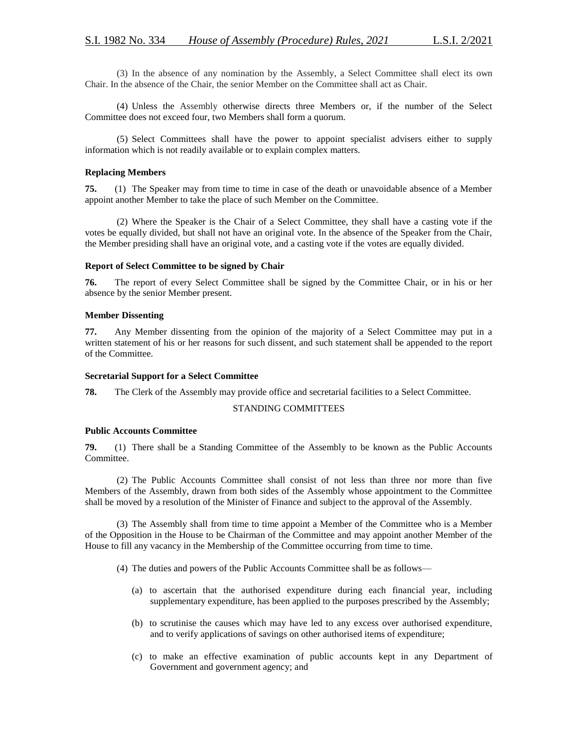(3) In the absence of any nomination by the Assembly, a Select Committee shall elect its own Chair. In the absence of the Chair, the senior Member on the Committee shall act as Chair.

(4) Unless the Assembly otherwise directs three Members or, if the number of the Select Committee does not exceed four, two Members shall form a quorum.

(5) Select Committees shall have the power to appoint specialist advisers either to supply information which is not readily available or to explain complex matters.

## **Replacing Members**

**75.** (1) The Speaker may from time to time in case of the death or unavoidable absence of a Member appoint another Member to take the place of such Member on the Committee.

(2) Where the Speaker is the Chair of a Select Committee, they shall have a casting vote if the votes be equally divided, but shall not have an original vote. In the absence of the Speaker from the Chair, the Member presiding shall have an original vote, and a casting vote if the votes are equally divided.

#### **Report of Select Committee to be signed by Chair**

**76.** The report of every Select Committee shall be signed by the Committee Chair, or in his or her absence by the senior Member present.

#### **Member Dissenting**

**77.** Any Member dissenting from the opinion of the majority of a Select Committee may put in a written statement of his or her reasons for such dissent, and such statement shall be appended to the report of the Committee.

#### **Secretarial Support for a Select Committee**

**78.** The Clerk of the Assembly may provide office and secretarial facilities to a Select Committee.

### STANDING COMMITTEES

## **Public Accounts Committee**

**79.** (1) There shall be a Standing Committee of the Assembly to be known as the Public Accounts Committee.

(2) The Public Accounts Committee shall consist of not less than three nor more than five Members of the Assembly, drawn from both sides of the Assembly whose appointment to the Committee shall be moved by a resolution of the Minister of Finance and subject to the approval of the Assembly.

(3) The Assembly shall from time to time appoint a Member of the Committee who is a Member of the Opposition in the House to be Chairman of the Committee and may appoint another Member of the House to fill any vacancy in the Membership of the Committee occurring from time to time.

(4) The duties and powers of the Public Accounts Committee shall be as follows—

- (a) to ascertain that the authorised expenditure during each financial year, including supplementary expenditure, has been applied to the purposes prescribed by the Assembly;
- (b) to scrutinise the causes which may have led to any excess over authorised expenditure, and to verify applications of savings on other authorised items of expenditure;
- (c) to make an effective examination of public accounts kept in any Department of Government and government agency; and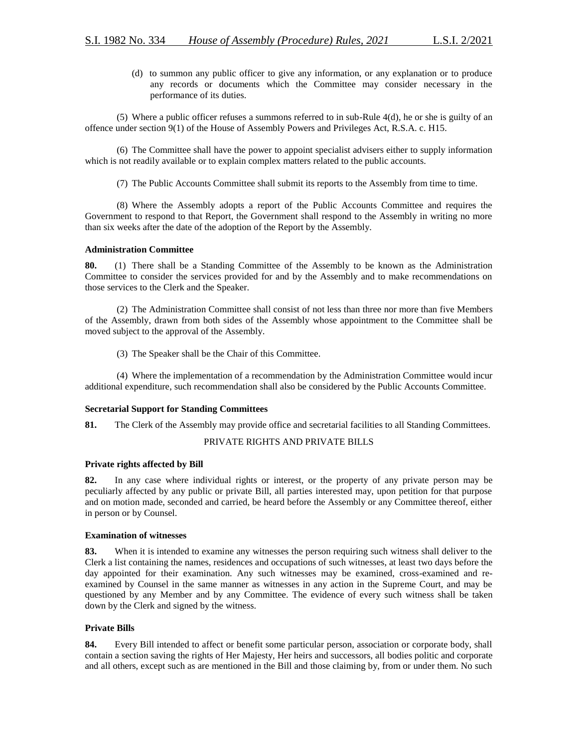(d) to summon any public officer to give any information, or any explanation or to produce any records or documents which the Committee may consider necessary in the performance of its duties.

(5) Where a public officer refuses a summons referred to in sub-Rule 4(d), he or she is guilty of an offence under section 9(1) of the House of Assembly Powers and Privileges Act, R.S.A. c. H15.

(6) The Committee shall have the power to appoint specialist advisers either to supply information which is not readily available or to explain complex matters related to the public accounts.

(7) The Public Accounts Committee shall submit its reports to the Assembly from time to time.

(8) Where the Assembly adopts a report of the Public Accounts Committee and requires the Government to respond to that Report, the Government shall respond to the Assembly in writing no more than six weeks after the date of the adoption of the Report by the Assembly.

## **Administration Committee**

**80.** (1) There shall be a Standing Committee of the Assembly to be known as the Administration Committee to consider the services provided for and by the Assembly and to make recommendations on those services to the Clerk and the Speaker.

(2) The Administration Committee shall consist of not less than three nor more than five Members of the Assembly, drawn from both sides of the Assembly whose appointment to the Committee shall be moved subject to the approval of the Assembly.

(3) The Speaker shall be the Chair of this Committee.

(4) Where the implementation of a recommendation by the Administration Committee would incur additional expenditure, such recommendation shall also be considered by the Public Accounts Committee.

#### **Secretarial Support for Standing Committees**

**81.** The Clerk of the Assembly may provide office and secretarial facilities to all Standing Committees.

## PRIVATE RIGHTS AND PRIVATE BILLS

## **Private rights affected by Bill**

**82.** In any case where individual rights or interest, or the property of any private person may be peculiarly affected by any public or private Bill, all parties interested may, upon petition for that purpose and on motion made, seconded and carried, be heard before the Assembly or any Committee thereof, either in person or by Counsel.

#### **Examination of witnesses**

**83.** When it is intended to examine any witnesses the person requiring such witness shall deliver to the Clerk a list containing the names, residences and occupations of such witnesses, at least two days before the day appointed for their examination. Any such witnesses may be examined, cross-examined and reexamined by Counsel in the same manner as witnesses in any action in the Supreme Court, and may be questioned by any Member and by any Committee. The evidence of every such witness shall be taken down by the Clerk and signed by the witness.

## **Private Bills**

**84.** Every Bill intended to affect or benefit some particular person, association or corporate body, shall contain a section saving the rights of Her Majesty, Her heirs and successors, all bodies politic and corporate and all others, except such as are mentioned in the Bill and those claiming by, from or under them. No such